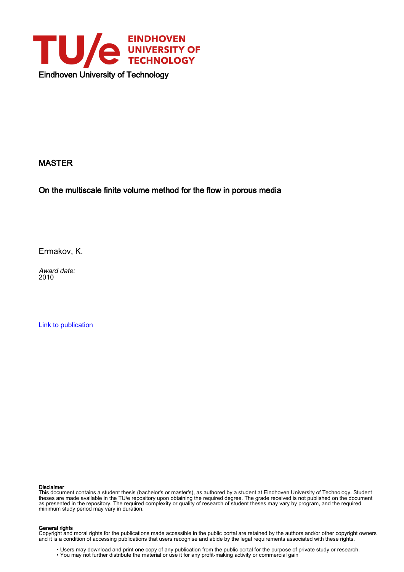

#### MASTER

On the multiscale finite volume method for the flow in porous media

Ermakov, K.

Award date: 2010

[Link to publication](https://research.tue.nl/en/studentTheses/3708574a-0e64-4bb4-b99e-64e31e8aa7c0)

#### Disclaimer

This document contains a student thesis (bachelor's or master's), as authored by a student at Eindhoven University of Technology. Student theses are made available in the TU/e repository upon obtaining the required degree. The grade received is not published on the document as presented in the repository. The required complexity or quality of research of student theses may vary by program, and the required minimum study period may vary in duration.

#### General rights

Copyright and moral rights for the publications made accessible in the public portal are retained by the authors and/or other copyright owners and it is a condition of accessing publications that users recognise and abide by the legal requirements associated with these rights.

• Users may download and print one copy of any publication from the public portal for the purpose of private study or research.<br>• You may not further distribute the material or use it for any profit-making activity or comm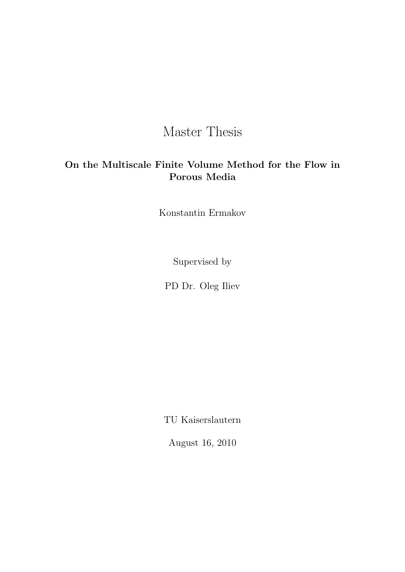### Master Thesis

### On the Multiscale Finite Volume Method for the Flow in Porous Media

Konstantin Ermakov

Supervised by

PD Dr. Oleg Iliev

TU Kaiserslautern

August 16, 2010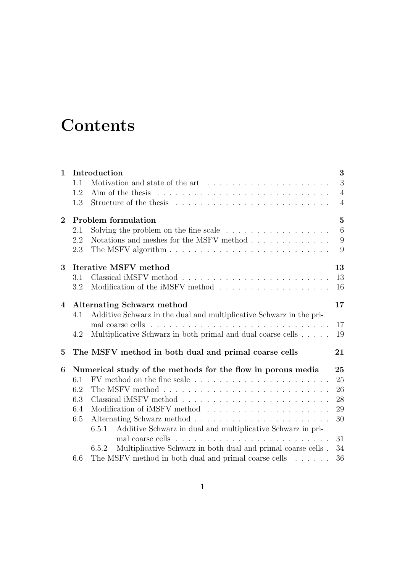### **Contents**

| $\mathbf{1}$   |                                         | Introduction                                                                   | 3              |  |  |  |
|----------------|-----------------------------------------|--------------------------------------------------------------------------------|----------------|--|--|--|
|                | 1.1                                     |                                                                                | 3              |  |  |  |
|                | 1.2                                     |                                                                                | $\overline{4}$ |  |  |  |
|                | 1.3                                     |                                                                                | $\overline{4}$ |  |  |  |
| $\overline{2}$ |                                         | <b>Problem formulation</b>                                                     | $\overline{5}$ |  |  |  |
|                | 2.1                                     | Solving the problem on the fine scale $\ldots \ldots \ldots \ldots \ldots$     | $\overline{6}$ |  |  |  |
|                | 2.2                                     | Notations and meshes for the MSFV method                                       | 9              |  |  |  |
|                | 2.3                                     |                                                                                | 9              |  |  |  |
| 3              |                                         | <b>Iterative MSFV method</b>                                                   | 13             |  |  |  |
|                | 3.1                                     |                                                                                | 13             |  |  |  |
|                | 3.2                                     |                                                                                | 16             |  |  |  |
| $\overline{4}$ | 17<br><b>Alternating Schwarz method</b> |                                                                                |                |  |  |  |
|                | 4.1                                     | Additive Schwarz in the dual and multiplicative Schwarz in the pri-            |                |  |  |  |
|                |                                         |                                                                                | 17             |  |  |  |
|                | 4.2                                     | Multiplicative Schwarz in both primal and dual coarse cells<br>19              |                |  |  |  |
| $\bf{5}$       |                                         | The MSFV method in both dual and primal coarse cells                           | 21             |  |  |  |
| 6              |                                         | Numerical study of the methods for the flow in porous media                    | 25             |  |  |  |
|                | 6.1                                     | FV method on the fine scale $\ldots \ldots \ldots \ldots \ldots \ldots \ldots$ | 25             |  |  |  |
|                | 6.2                                     |                                                                                | 26             |  |  |  |
|                | 6.3                                     |                                                                                | 28             |  |  |  |
|                | 6.4                                     |                                                                                | 29             |  |  |  |
|                | 6.5                                     |                                                                                | 30             |  |  |  |
|                |                                         | Additive Schwarz in dual and multiplicative Schwarz in pri-<br>6.5.1           |                |  |  |  |
|                |                                         |                                                                                | 31             |  |  |  |
|                |                                         | Multiplicative Schwarz in both dual and primal coarse cells.<br>6.5.2          | 34             |  |  |  |
|                | 6.6                                     | The MSFV method in both dual and primal coarse cells $\dots \dots$             | 36             |  |  |  |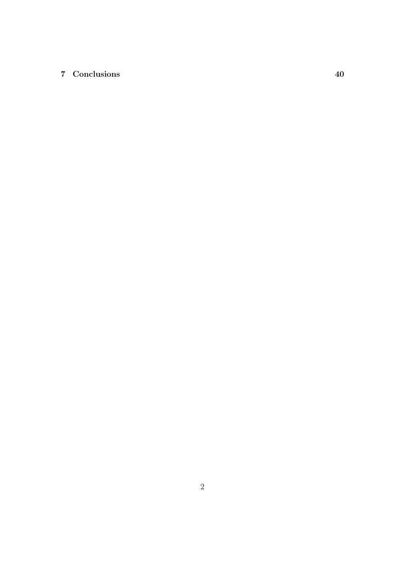#### 7 Conclusions 40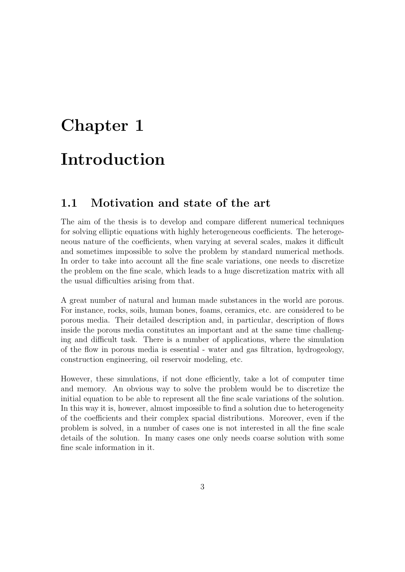## Chapter 1 Introduction

### 1.1 Motivation and state of the art

The aim of the thesis is to develop and compare different numerical techniques for solving elliptic equations with highly heterogeneous coefficients. The heterogeneous nature of the coefficients, when varying at several scales, makes it difficult and sometimes impossible to solve the problem by standard numerical methods. In order to take into account all the fine scale variations, one needs to discretize the problem on the fine scale, which leads to a huge discretization matrix with all the usual difficulties arising from that.

A great number of natural and human made substances in the world are porous. For instance, rocks, soils, human bones, foams, ceramics, etc. are considered to be porous media. Their detailed description and, in particular, description of flows inside the porous media constitutes an important and at the same time challenging and difficult task. There is a number of applications, where the simulation of the flow in porous media is essential - water and gas filtration, hydrogeology, construction engineering, oil reservoir modeling, etc.

However, these simulations, if not done efficiently, take a lot of computer time and memory. An obvious way to solve the problem would be to discretize the initial equation to be able to represent all the fine scale variations of the solution. In this way it is, however, almost impossible to find a solution due to heterogeneity of the coefficients and their complex spacial distributions. Moreover, even if the problem is solved, in a number of cases one is not interested in all the fine scale details of the solution. In many cases one only needs coarse solution with some fine scale information in it.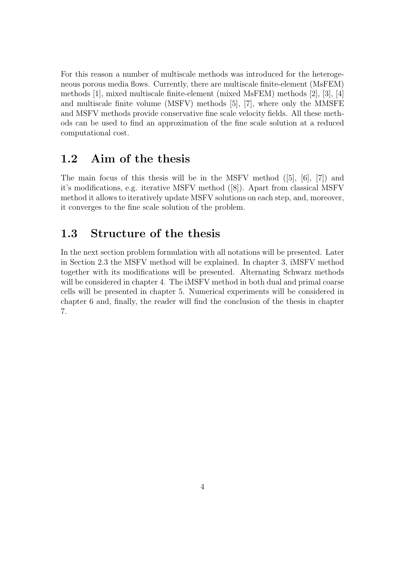For this reason a number of multiscale methods was introduced for the heterogeneous porous media flows. Currently, there are multiscale finite-element (MsFEM) methods [1], mixed multiscale finite-element (mixed MsFEM) methods [2], [3], [4] and multiscale finite volume (MSFV) methods [5], [7], where only the MMSFE and MSFV methods provide conservative fine scale velocity fields. All these methods can be used to find an approximation of the fine scale solution at a reduced computational cost.

### 1.2 Aim of the thesis

The main focus of this thesis will be in the MSFV method  $([5], [6], [7])$  and it's modifications, e.g. iterative MSFV method ([8]). Apart from classical MSFV method it allows to iteratively update MSFV solutions on each step, and, moreover, it converges to the fine scale solution of the problem.

### 1.3 Structure of the thesis

In the next section problem formulation with all notations will be presented. Later in Section 2.3 the MSFV method will be explained. In chapter 3, iMSFV method together with its modifications will be presented. Alternating Schwarz methods will be considered in chapter 4. The iMSFV method in both dual and primal coarse cells will be presented in chapter 5. Numerical experiments will be considered in chapter 6 and, finally, the reader will find the conclusion of the thesis in chapter 7.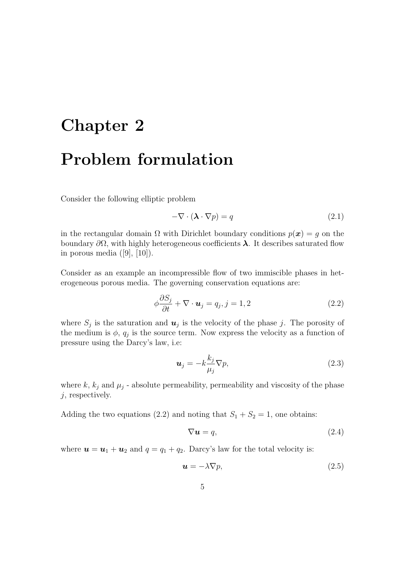# Chapter 2 Problem formulation

Consider the following elliptic problem

$$
-\nabla \cdot (\mathbf{\lambda} \cdot \nabla p) = q \tag{2.1}
$$

in the rectangular domain  $\Omega$  with Dirichlet boundary conditions  $p(x) = q$  on the boundary  $\partial\Omega$ , with highly heterogeneous coefficients  $\lambda$ . It describes saturated flow in porous media  $([9], [10])$ .

Consider as an example an incompressible flow of two immiscible phases in heterogeneous porous media. The governing conservation equations are:

$$
\phi \frac{\partial S_j}{\partial t} + \nabla \cdot \boldsymbol{u}_j = q_j, j = 1, 2 \tag{2.2}
$$

where  $S_j$  is the saturation and  $u_j$  is the velocity of the phase j. The porosity of the medium is  $\phi$ ,  $q_j$  is the source term. Now express the velocity as a function of pressure using the Darcy's law, i.e:

$$
\boldsymbol{u}_j = -k \frac{k_j}{\mu_j} \nabla p,\tag{2.3}
$$

where  $k$ ,  $k_j$  and  $\mu_j$  - absolute permeability, permeability and viscosity of the phase  $j$ , respectively.

Adding the two equations (2.2) and noting that  $S_1 + S_2 = 1$ , one obtains:

$$
\nabla \mathbf{u} = q,\tag{2.4}
$$

where  $u = u_1 + u_2$  and  $q = q_1 + q_2$ . Darcy's law for the total velocity is:

$$
\mathbf{u} = -\lambda \nabla p,\tag{2.5}
$$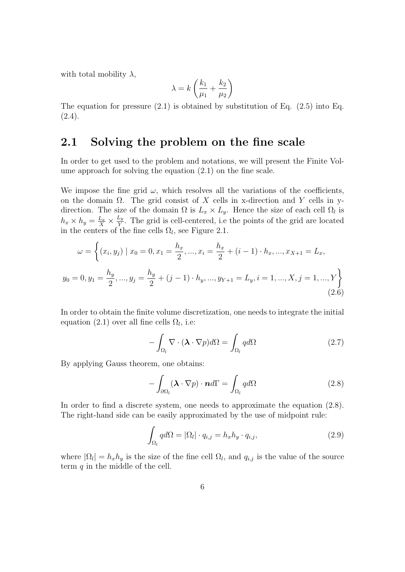with total mobility  $\lambda$ ,

$$
\lambda = k \left( \frac{k_1}{\mu_1} + \frac{k_2}{\mu_2} \right)
$$

The equation for pressure  $(2.1)$  is obtained by substitution of Eq.  $(2.5)$  into Eq. (2.4).

### 2.1 Solving the problem on the fine scale

In order to get used to the problem and notations, we will present the Finite Volume approach for solving the equation (2.1) on the fine scale.

We impose the fine grid  $\omega$ , which resolves all the variations of the coefficients, on the domain  $\Omega$ . The grid consist of X cells in x-direction and Y cells in ydirection. The size of the domain  $\Omega$  is  $L_x \times L_y$ . Hence the size of each cell  $\Omega_l$  is  $h_x \times h_y = \frac{L_x}{X} \times \frac{L_y}{Y}$  $\frac{L_y}{Y}$ . The grid is cell-centered, i.e the points of the grid are located in the centers of the fine cells  $\Omega_l$ , see Figure 2.1.

$$
\omega = \left\{ (x_i, y_j) \mid x_0 = 0, x_1 = \frac{h_x}{2}, ..., x_i = \frac{h_x}{2} + (i - 1) \cdot h_x, ..., x_{X+1} = L_x, y_0 = 0, y_1 = \frac{h_y}{2}, ..., y_j = \frac{h_y}{2} + (j - 1) \cdot h_y, ..., y_{Y+1} = L_y, i = 1, ..., X, j = 1, ..., Y \right\}
$$
\n(2.6)

In order to obtain the finite volume discretization, one needs to integrate the initial equation (2.1) over all fine cells  $\Omega_l$ , i.e:

$$
-\int_{\Omega_l} \nabla \cdot (\mathbf{\lambda} \cdot \nabla p) d\Omega = \int_{\Omega_l} q d\Omega \qquad (2.7)
$$

By applying Gauss theorem, one obtains:

$$
-\int_{\partial\Omega_l} (\mathbf{\lambda} \cdot \nabla p) \cdot \mathbf{n} d\Gamma = \int_{\Omega_l} q d\Omega \tag{2.8}
$$

In order to find a discrete system, one needs to approximate the equation (2.8). The right-hand side can be easily approximated by the use of midpoint rule:

$$
\int_{\Omega_l} q d\Omega = |\Omega_l| \cdot q_{i,j} = h_x h_y \cdot q_{i,j},\tag{2.9}
$$

where  $|\Omega_l| = h_x h_y$  is the size of the fine cell  $\Omega_l$ , and  $q_{i,j}$  is the value of the source term  $q$  in the middle of the cell.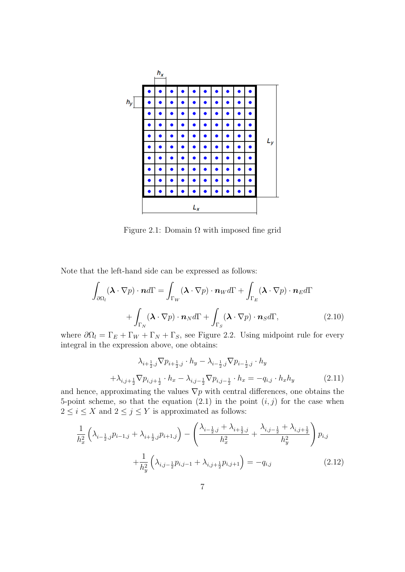

Figure 2.1: Domain  $\Omega$  with imposed fine grid

Note that the left-hand side can be expressed as follows:

$$
\int_{\partial\Omega_l} (\boldsymbol{\lambda} \cdot \nabla p) \cdot \boldsymbol{n} d\Gamma = \int_{\Gamma_W} (\boldsymbol{\lambda} \cdot \nabla p) \cdot \boldsymbol{n}_W d\Gamma + \int_{\Gamma_E} (\boldsymbol{\lambda} \cdot \nabla p) \cdot \boldsymbol{n}_E d\Gamma
$$
\n
$$
+ \int_{\Gamma_N} (\boldsymbol{\lambda} \cdot \nabla p) \cdot \boldsymbol{n}_N d\Gamma + \int_{\Gamma_S} (\boldsymbol{\lambda} \cdot \nabla p) \cdot \boldsymbol{n}_S d\Gamma, \qquad (2.10)
$$

where  $\partial \Omega_l = \Gamma_E + \Gamma_W + \Gamma_N + \Gamma_S$ , see Figure 2.2. Using midpoint rule for every integral in the expression above, one obtains:

$$
\lambda_{i+\frac{1}{2},j} \nabla p_{i+\frac{1}{2},j} \cdot h_y - \lambda_{i-\frac{1}{2},j} \nabla p_{i-\frac{1}{2},j} \cdot h_y + \lambda_{i,j+\frac{1}{2}} \nabla p_{i,j+\frac{1}{2}} \cdot h_x - \lambda_{i,j-\frac{1}{2}} \nabla p_{i,j-\frac{1}{2}} \cdot h_x = -q_{i,j} \cdot h_x h_y
$$
\n(2.11)

and hence, approximating the values  $\nabla p$  with central differences, one obtains the 5-point scheme, so that the equation  $(2.1)$  in the point  $(i, j)$  for the case when  $2 \leq i \leq X$  and  $2 \leq j \leq Y$  is approximated as follows:

$$
\frac{1}{h_x^2} \left( \lambda_{i-\frac{1}{2},j} p_{i-1,j} + \lambda_{i+\frac{1}{2},j} p_{i+1,j} \right) - \left( \frac{\lambda_{i-\frac{1}{2},j} + \lambda_{i+\frac{1}{2},j}}{h_x^2} + \frac{\lambda_{i,j-\frac{1}{2}} + \lambda_{i,j+\frac{1}{2}}}{h_y^2} \right) p_{i,j} + \frac{1}{h_y^2} \left( \lambda_{i,j-\frac{1}{2}} p_{i,j-1} + \lambda_{i,j+\frac{1}{2}} p_{i,j+1} \right) = -q_{i,j}
$$
\n(2.12)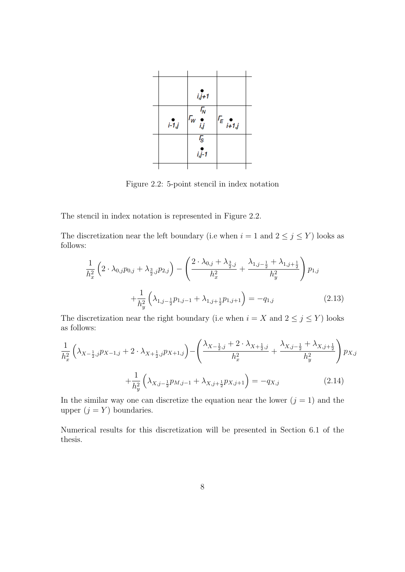|         | $i, j+1$                          |                |  |
|---------|-----------------------------------|----------------|--|
| $i-1,j$ | $\overline{r_w}$                  | $\int_{E_{i}}$ |  |
|         | $\overline{I_{\rm S}}$<br>$i,j-1$ |                |  |
|         |                                   |                |  |

Figure 2.2: 5-point stencil in index notation

The stencil in index notation is represented in Figure 2.2.

The discretization near the left boundary (i.e when  $i = 1$  and  $2 \le j \le Y$ ) looks as follows:

$$
\frac{1}{h_x^2} \left( 2 \cdot \lambda_{0,j} p_{0,j} + \lambda_{\frac{3}{2},j} p_{2,j} \right) - \left( \frac{2 \cdot \lambda_{0,j} + \lambda_{\frac{3}{2},j}}{h_x^2} + \frac{\lambda_{1,j-\frac{1}{2}} + \lambda_{1,j+\frac{1}{2}}}{h_y^2} \right) p_{1,j} \n+ \frac{1}{h_y^2} \left( \lambda_{1,j-\frac{1}{2}} p_{1,j-1} + \lambda_{1,j+\frac{1}{2}} p_{1,j+1} \right) = -q_{1,j}
$$
\n(2.13)

The discretization near the right boundary (i.e when  $i = X$  and  $2 \le j \le Y$ ) looks as follows:

$$
\frac{1}{h_x^2} \left( \lambda_{X - \frac{1}{2}, j} p_{X - 1, j} + 2 \cdot \lambda_{X + \frac{1}{2}, j} p_{X + 1, j} \right) - \left( \frac{\lambda_{X - \frac{1}{2}, j} + 2 \cdot \lambda_{X + \frac{1}{2}, j}}{h_x^2} + \frac{\lambda_{X, j - \frac{1}{2}} + \lambda_{X, j + \frac{1}{2}}}{h_y^2} \right) p_{X, j}
$$
\n
$$
+ \frac{1}{h_y^2} \left( \lambda_{X, j - \frac{1}{2}} p_{M, j - 1} + \lambda_{X, j + \frac{1}{2}} p_{X, j + 1} \right) = -q_{X, j} \tag{2.14}
$$

In the similar way one can discretize the equation near the lower  $(j = 1)$  and the upper  $(j = Y)$  boundaries.

Numerical results for this discretization will be presented in Section 6.1 of the thesis.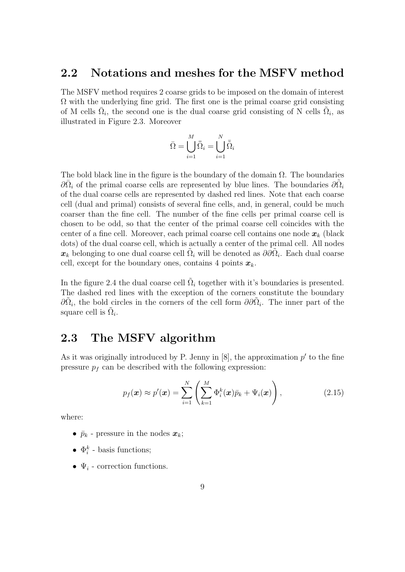### 2.2 Notations and meshes for the MSFV method

The MSFV method requires 2 coarse grids to be imposed on the domain of interest  $\Omega$  with the underlying fine grid. The first one is the primal coarse grid consisting of M cells  $\overline{\Omega}_i$ , the second one is the dual coarse grid consisting of N cells  $\overline{\Omega}_i$ , as illustrated in Figure 2.3. Moreover

$$
\bar{\Omega} = \bigcup_{i=1}^M \bar{\tilde{\Omega}}_i = \bigcup_{i=1}^N \bar{\tilde{\Omega}}_i
$$

The bold black line in the figure is the boundary of the domain  $\Omega$ . The boundaries  $\partial \bar{\Omega}_i$  of the primal coarse cells are represented by blue lines. The boundaries  $\partial \tilde{\Omega}_i$ of the dual coarse cells are represented by dashed red lines. Note that each coarse cell (dual and primal) consists of several fine cells, and, in general, could be much coarser than the fine cell. The number of the fine cells per primal coarse cell is chosen to be odd, so that the center of the primal coarse cell coincides with the center of a fine cell. Moreover, each primal coarse cell contains one node  $x_k$  (black dots) of the dual coarse cell, which is actually a center of the primal cell. All nodes  $x_k$  belonging to one dual coarse cell  $\tilde{\Omega}_i$  will be denoted as  $\partial \partial \tilde{\Omega}_i$ . Each dual coarse cell, except for the boundary ones, contains 4 points  $x_k$ .

In the figure 2.4 the dual coarse cell  $\tilde{\Omega}_i$  together with it's boundaries is presented. The dashed red lines with the exception of the corners constitute the boundary  $\partial \tilde{\Omega}_i$ , the bold circles in the corners of the cell form  $\partial \partial \tilde{\Omega}_i$ . The inner part of the square cell is  $\tilde{\Omega}_i$ .

### 2.3 The MSFV algorithm

As it was originally introduced by P. Jenny in  $[8]$ , the approximation  $p'$  to the fine pressure  $p_f$  can be described with the following expression:

$$
p_f(\boldsymbol{x}) \approx p'(\boldsymbol{x}) = \sum_{i=1}^N \left( \sum_{k=1}^M \Phi_i^k(\boldsymbol{x}) \bar{p}_k + \Psi_i(\boldsymbol{x}) \right), \qquad (2.15)
$$

where:

- $\bar{p}_k$  pressure in the nodes  $\boldsymbol{x}_k$ ;
- $\Phi_i^k$  basis functions;
- $\Psi_i$  correction functions.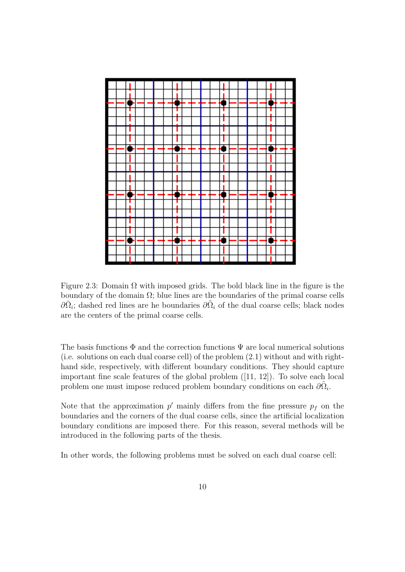

Figure 2.3: Domain  $\Omega$  with imposed grids. The bold black line in the figure is the boundary of the domain  $\Omega$ ; blue lines are the boundaries of the primal coarse cells  $\partial \bar{\Omega}_i$ ; dashed red lines are he boundaries  $\partial \tilde{\Omega}_i$  of the dual coarse cells; black nodes are the centers of the primal coarse cells.

The basis functions  $\Phi$  and the correction functions  $\Psi$  are local numerical solutions (i.e. solutions on each dual coarse cell) of the problem (2.1) without and with righthand side, respectively, with different boundary conditions. They should capture important fine scale features of the global problem ([11, 12]). To solve each local problem one must impose reduced problem boundary conditions on each  $\partial \tilde{\Omega}_i$ .

Note that the approximation  $p'$  mainly differs from the fine pressure  $p_f$  on the boundaries and the corners of the dual coarse cells, since the artificial localization boundary conditions are imposed there. For this reason, several methods will be introduced in the following parts of the thesis.

In other words, the following problems must be solved on each dual coarse cell: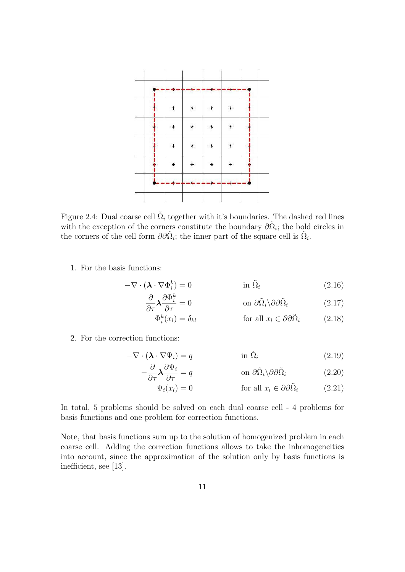

Figure 2.4: Dual coarse cell  $\tilde{\Omega}_i$  together with it's boundaries. The dashed red lines with the exception of the corners constitute the boundary  $\partial \tilde{\Omega}_i$ ; the bold circles in the corners of the cell form  $\partial \partial \tilde{\Omega}_i$ ; the inner part of the square cell is  $\tilde{\Omega}_i$ .

1. For the basis functions:

$$
-\nabla \cdot (\mathbf{\lambda} \cdot \nabla \Phi_i^k) = 0 \qquad \text{in } \tilde{\Omega}_i \tag{2.16}
$$

$$
\frac{\partial}{\partial \tau} \lambda \frac{\partial \Phi_i^k}{\partial \tau} = 0 \qquad \text{on } \partial \tilde{\Omega}_i \setminus \partial \partial \tilde{\Omega}_i \tag{2.17}
$$

$$
\Phi_i^k(x_l) = \delta_{kl} \qquad \text{for all } x_l \in \partial \partial \tilde{\Omega}_i \qquad (2.18)
$$

2. For the correction functions:

 $-\frac{\partial}{\partial}$  $\frac{\delta}{\partial \tau}\boldsymbol{\lambda}$ 

$$
-\nabla \cdot (\mathbf{\lambda} \cdot \nabla \Psi_i) = q \qquad \text{in } \tilde{\Omega}_i \tag{2.19}
$$

$$
\frac{\partial \Psi_i}{\partial \tau} = q \qquad \text{on } \partial \tilde{\Omega}_i \setminus \partial \partial \tilde{\Omega}_i \qquad (2.20)
$$

$$
\Psi_i(x_l) = 0 \qquad \text{for all } x_l \in \partial \partial \tilde{\Omega}_i \qquad (2.21)
$$

In total, 5 problems should be solved on each dual coarse cell - 4 problems for basis functions and one problem for correction functions.

Note, that basis functions sum up to the solution of homogenized problem in each coarse cell. Adding the correction functions allows to take the inhomogeneities into account, since the approximation of the solution only by basis functions is inefficient, see [13].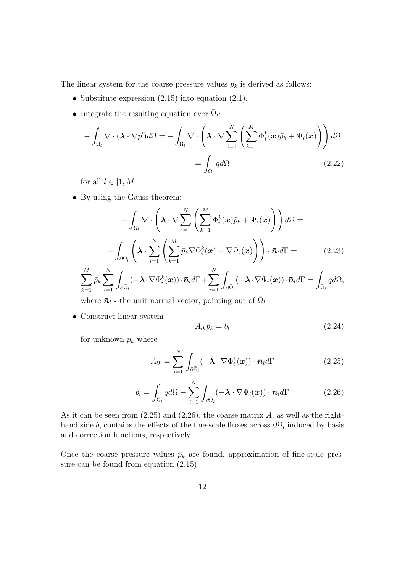The linear system for the coarse pressure values  $\bar{p}_k$  is derived as follows:

- Substitute expression  $(2.15)$  into equation  $(2.1)$ .
- Integrate the resulting equation over  $\overline{\Omega}_l$ :

$$
-\int_{\bar{\Omega}_l} \nabla \cdot (\boldsymbol{\lambda} \cdot \nabla p') d\Omega = -\int_{\bar{\Omega}_l} \nabla \cdot \left( \boldsymbol{\lambda} \cdot \nabla \sum_{i=1}^N \left( \sum_{k=1}^M \Phi_i^k(\boldsymbol{x}) \bar{p}_k + \Psi_i(\boldsymbol{x}) \right) \right) d\Omega
$$

$$
= \int_{\bar{\Omega}_l} q d\Omega \qquad (2.22)
$$

for all  $l \in [1, M]$ 

• By using the Gauss theorem:

$$
- \int_{\bar{\Omega}_l} \nabla \cdot \left( \boldsymbol{\lambda} \cdot \nabla \sum_{i=1}^N \left( \sum_{k=1}^M \Phi_i^k(\boldsymbol{x}) \bar{p}_k + \Psi_i(\boldsymbol{x}) \right) \right) d\Omega =
$$

$$
- \int_{\partial \bar{\Omega}_l} \left( \boldsymbol{\lambda} \cdot \sum_{i=1}^N \left( \sum_{k=1}^M \bar{p}_k \nabla \Phi_i^k(\boldsymbol{x}) + \nabla \Psi_i(\boldsymbol{x}) \right) \right) \cdot \bar{\boldsymbol{n}}_l d\Gamma =
$$
(2.23)

$$
\sum_{k=1}^M \bar{p}_k \sum_{i=1}^N \int_{\partial \bar{\Omega}_l} (-\boldsymbol{\lambda} \cdot \nabla \Phi_i^k(\boldsymbol{x})) \cdot \bar{\boldsymbol{n}}_l d\Gamma + \sum_{i=1}^N \int_{\partial \bar{\Omega}_l} (-\boldsymbol{\lambda} \cdot \nabla \Psi_i(\boldsymbol{x})) \cdot \bar{\boldsymbol{n}}_l d\Gamma = \int_{\bar{\Omega}_l} q d\Omega,
$$

where  $\bar{n}_l$  - the unit normal vector, pointing out of  $\bar{\Omega}_l$ 

• Construct linear system

$$
A_{lk}\bar{p}_k = b_l \tag{2.24}
$$

for unknown  $\bar{p}_k$  where

$$
A_{lk} = \sum_{i=1}^{N} \int_{\partial \bar{\Omega}_l} (-\boldsymbol{\lambda} \cdot \nabla \Phi_i^k(\boldsymbol{x})) \cdot \bar{\boldsymbol{n}}_l d\Gamma
$$
 (2.25)

$$
b_{l} = \int_{\bar{\Omega}_{l}} q d\Omega - \sum_{i=1}^{N} \int_{\partial \bar{\Omega}_{l}} (-\boldsymbol{\lambda} \cdot \nabla \Psi_{i}(\boldsymbol{x})) \cdot \bar{\boldsymbol{n}}_{l} d\Gamma \qquad (2.26)
$$

As it can be seen from  $(2.25)$  and  $(2.26)$ , the coarse matrix A, as well as the righthand side b, contains the effects of the fine-scale fluxes across  $\partial \bar{\Omega}_l$  induced by basis and correction functions, respectively.

Once the coarse pressure values  $\bar{p}_k$  are found, approximation of fine-scale pressure can be found from equation (2.15).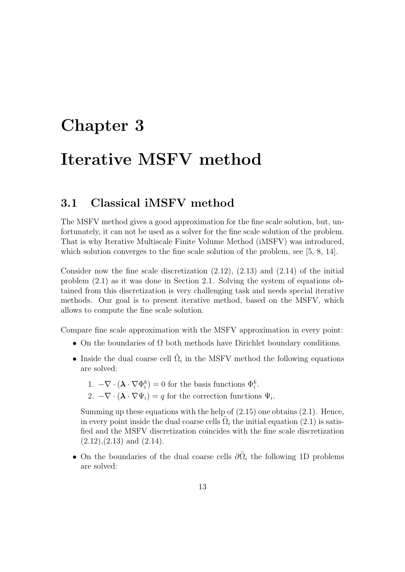# Chapter 3 Iterative MSFV method

### 3.1 Classical iMSFV method

The MSFV method gives a good approximation for the fine scale solution, but, unfortunately, it can not be used as a solver for the fine scale solution of the problem. That is why Iterative Multiscale Finite Volume Method (iMSFV) was introduced, which solution converges to the fine scale solution of the problem, see [5, 8, 14].

Consider now the fine scale discretization  $(2.12)$ ,  $(2.13)$  and  $(2.14)$  of the initial problem (2.1) as it was done in Section 2.1. Solving the system of equations obtained from this discretization is very challenging task and needs special iterative methods. Our goal is to present iterative method, based on the MSFV, which allows to compute the fine scale solution.

Compare fine scale approximation with the MSFV approximation in every point:

- On the boundaries of  $\Omega$  both methods have Dirichlet boundary conditions.
- Inside the dual coarse cell  $\tilde{\Omega}_i$  in the MSFV method the following equations are solved:
	- 1.  $-\nabla \cdot (\mathbf{\lambda} \cdot \nabla \Phi_i^k) = 0$  for the basis functions  $\Phi_i^k$ .
	- 2.  $-\nabla \cdot (\boldsymbol{\lambda} \cdot \nabla \Psi_i) = q$  for the correction functions  $\Psi_i$ .

Summing up these equations with the help of  $(2.15)$  one obtains  $(2.1)$ . Hence, in every point inside the dual coarse cells  $\tilde{\Omega}_i$  the initial equation (2.1) is satisfied and the MSFV discretization coincides with the fine scale discretization  $(2.12), (2.13)$  and  $(2.14)$ .

• On the boundaries of the dual coarse cells  $\partial \tilde{\Omega}_i$  the following 1D problems are solved: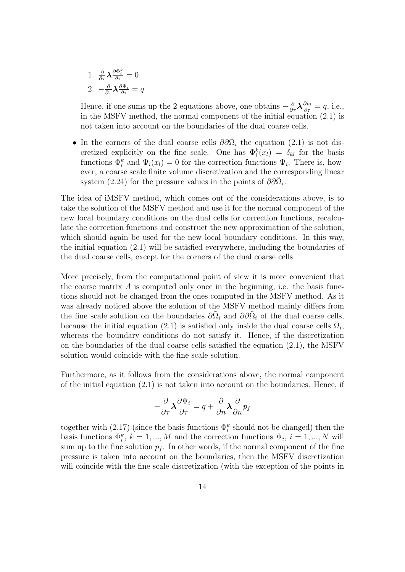1. 
$$
\frac{\partial}{\partial \tau} \lambda \frac{\partial \Phi_i^k}{\partial \tau} = 0
$$
  
2. 
$$
-\frac{\partial}{\partial \tau} \lambda \frac{\partial \Psi_i}{\partial \tau} = q
$$

Hence, if one sums up the 2 equations above, one obtains  $-\frac{\partial}{\partial \tau}\lambda \frac{\partial p_i}{\partial \tau} = q$ , i.e., in the MSFV method, the normal component of the initial equation (2.1) is not taken into account on the boundaries of the dual coarse cells.

• In the corners of the dual coarse cells  $\partial \partial \tilde{\Omega}_i$  the equation (2.1) is not discretized explicitly on the fine scale. One has  $\Phi_i^k(x_l) = \delta_{kl}$  for the basis functions  $\Phi_i^k$  and  $\Psi_i(x_l) = 0$  for the correction functions  $\Psi_i$ . There is, however, a coarse scale finite volume discretization and the corresponding linear system (2.24) for the pressure values in the points of  $\partial \partial \tilde{\Omega}_i$ .

The idea of iMSFV method, which comes out of the considerations above, is to take the solution of the MSFV method and use it for the normal component of the new local boundary conditions on the dual cells for correction functions, recalculate the correction functions and construct the new approximation of the solution, which should again be used for the new local boundary conditions. In this way, the initial equation (2.1) will be satisfied everywhere, including the boundaries of the dual coarse cells, except for the corners of the dual coarse cells.

More precisely, from the computational point of view it is more convenient that the coarse matrix  $\vec{A}$  is computed only once in the beginning, i.e. the basis functions should not be changed from the ones computed in the MSFV method. As it was already noticed above the solution of the MSFV method mainly differs from the fine scale solution on the boundaries  $\partial \tilde{\Omega}_i$  and  $\partial \partial \tilde{\Omega}_i$  of the dual coarse cells, because the initial equation (2.1) is satisfied only inside the dual coarse cells  $\tilde{\Omega}_i$ , whereas the boundary conditions do not satisfy it. Hence, if the discretization on the boundaries of the dual coarse cells satisfied the equation (2.1), the MSFV solution would coincide with the fine scale solution.

Furthermore, as it follows from the considerations above, the normal component of the initial equation  $(2.1)$  is not taken into account on the boundaries. Hence, if

$$
-\frac{\partial}{\partial \tau} \lambda \frac{\partial \Psi_i}{\partial \tau} = q + \frac{\partial}{\partial n} \lambda \frac{\partial}{\partial n} p_f
$$

together with  $(2.17)$  (since the basis functions  $\Phi_i^k$  should not be changed) then the basis functions  $\Phi_i^k$ ,  $k = 1, ..., M$  and the correction functions  $\Psi_i$ ,  $i = 1, ..., N$  will sum up to the fine solution  $p_f$ . In other words, if the normal component of the fine pressure is taken into account on the boundaries, then the MSFV discretization will coincide with the fine scale discretization (with the exception of the points in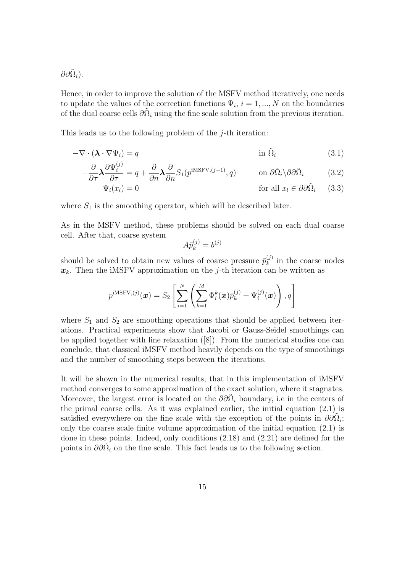$\partial\partial \tilde{\Omega}_i)$ .

Hence, in order to improve the solution of the MSFV method iteratively, one needs to update the values of the correction functions  $\Psi_i$ ,  $i = 1, ..., N$  on the boundaries of the dual coarse cells  $\partial \tilde{\Omega}_i$  using the fine scale solution from the previous iteration.

This leads us to the following problem of the *j*-th iteration:

$$
-\nabla \cdot (\mathbf{\lambda} \cdot \nabla \Psi_i) = q \qquad \qquad \text{in } \tilde{\Omega}_i \tag{3.1}
$$

$$
-\frac{\partial}{\partial \tau} \mathbf{\lambda} \frac{\partial \Psi_i^{(j)}}{\partial \tau} = q + \frac{\partial}{\partial n} \mathbf{\lambda} \frac{\partial}{\partial n} S_1(p^{\text{iMSFV},(j-1)}, q) \qquad \text{on } \partial \tilde{\Omega}_i \setminus \partial \partial \tilde{\Omega}_i \tag{3.2}
$$

$$
\Psi_i(x_l) = 0 \qquad \text{for all } x_l \in \partial \partial \tilde{\Omega}_i \qquad (3.3)
$$

where  $S_1$  is the smoothing operator, which will be described later.

As in the MSFV method, these problems should be solved on each dual coarse cell. After that, coarse system

$$
A\bar{p}_k^{(j)} = b^{(j)}
$$

should be solved to obtain new values of coarse pressure  $\bar{p}_k^{(j)}$  $k_k^{(j)}$  in the coarse nodes  $x_k$ . Then the iMSFV approximation on the j-th iteration can be written as

$$
p^{\mathrm{iMSFV},(j)}(\boldsymbol{x}) = S_2\left[\sum_{i=1}^N\left(\sum_{k=1}^M \Phi_i^k(\boldsymbol{x})\bar{p}_k^{(j)} + \Psi_i^{(j)}(\boldsymbol{x})\right), q\right]
$$

where  $S_1$  and  $S_2$  are smoothing operations that should be applied between iterations. Practical experiments show that Jacobi or Gauss-Seidel smoothings can be applied together with line relaxation ([8]). From the numerical studies one can conclude, that classical iMSFV method heavily depends on the type of smoothings and the number of smoothing steps between the iterations.

It will be shown in the numerical results, that in this implementation of iMSFV method converges to some approximation of the exact solution, where it stagnates. Moreover, the largest error is located on the  $\partial \partial \tilde{\Omega}_i$  boundary, i.e in the centers of the primal coarse cells. As it was explained earlier, the initial equation (2.1) is satisfied everywhere on the fine scale with the exception of the points in  $\partial\partial\tilde{\Omega}_i$ ; only the coarse scale finite volume approximation of the initial equation  $(2.1)$  is done in these points. Indeed, only conditions (2.18) and (2.21) are defined for the points in  $\partial \partial \tilde{\Omega}_i$  on the fine scale. This fact leads us to the following section.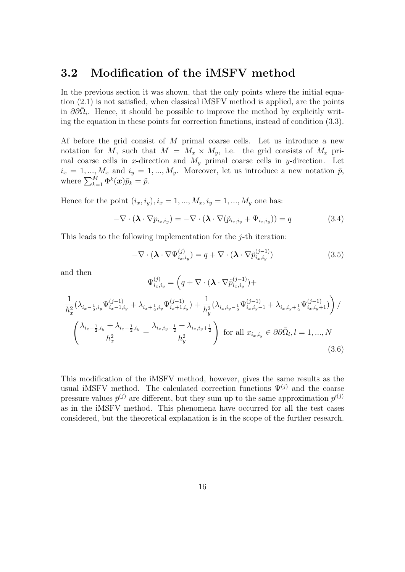### 3.2 Modification of the iMSFV method

In the previous section it was shown, that the only points where the initial equation (2.1) is not satisfied, when classical iMSFV method is applied, are the points in  $\partial_{\alpha} \partial_{\alpha} \tilde{\Omega}_i$ . Hence, it should be possible to improve the method by explicitly writing the equation in these points for correction functions, instead of condition (3.3).

Af before the grid consist of M primal coarse cells. Let us introduce a new notation for M, such that  $M = M_x \times M_y$ , i.e. the grid consists of  $M_x$  primal coarse cells in x-direction and  $M_y$  primal coarse cells in y-direction. Let  $i_x = 1, ..., M_x$  and  $i_y = 1, ..., M_y$ . Moreover, let us introduce a new notation  $\tilde{p}$ , where  $\sum_{k=1}^{M} \Phi^k(\boldsymbol{x}) \bar{p}_k = \tilde{p}$ .

Hence for the point  $(i_x, i_y), i_x = 1, ..., M_x, i_y = 1, ..., M_y$  one has:

$$
-\nabla \cdot (\boldsymbol{\lambda} \cdot \nabla p_{i_x, i_y}) = -\nabla \cdot (\boldsymbol{\lambda} \cdot \nabla (\tilde{p}_{i_x, i_y} + \Psi_{i_x, i_y})) = q \qquad (3.4)
$$

This leads to the following implementation for the  $j$ -th iteration:

$$
-\nabla \cdot (\boldsymbol{\lambda} \cdot \nabla \Psi_{i_x, i_y}^{(j)}) = q + \nabla \cdot (\boldsymbol{\lambda} \cdot \nabla \tilde{p}_{i_x, i_y}^{(j-1)})
$$
(3.5)

and then

$$
\Psi_{i_x, i_y}^{(j)} = \left( q + \nabla \cdot (\boldsymbol{\lambda} \cdot \nabla \tilde{p}_{i_x, i_y}^{(j-1)}) + \frac{1}{h_x^2} (\lambda_{i_x - \frac{1}{2}, i_y} \Psi_{i_x - 1, i_y}^{(j-1)} + \lambda_{i_x + \frac{1}{2}, i_y} \Psi_{i_x + 1, i_y}^{(j-1)}) + \frac{1}{h_y^2} (\lambda_{i_x, i_y - \frac{1}{2}} \Psi_{i_x, i_y - 1}^{(j-1)} + \lambda_{i_x, i_y + \frac{1}{2}} \Psi_{i_x, i_y + 1}^{(j-1)}) \right) / \left( \frac{\lambda_{i_x - \frac{1}{2}, i_y} + \lambda_{i_x + \frac{1}{2}, i_y}}{h_x^2} + \frac{\lambda_{i_x, i_y - \frac{1}{2}} + \lambda_{i_x, i_y + \frac{1}{2}}}{h_y^2} \right) \text{ for all } x_{i_x, i_y} \in \partial \partial \tilde{\Omega}_l, l = 1, ..., N
$$
\n(3.6)

This modification of the iMSFV method, however, gives the same results as the usual iMSFV method. The calculated correction functions  $\Psi^{(j)}$  and the coarse pressure values  $\bar{p}^{(j)}$  are different, but they sum up to the same approximation  $p^{(j)}$ as in the iMSFV method. This phenomena have occurred for all the test cases considered, but the theoretical explanation is in the scope of the further research.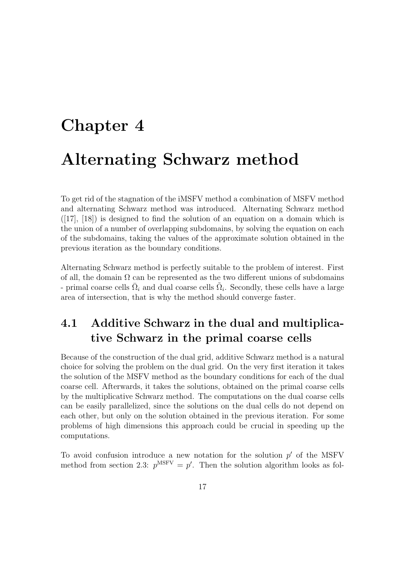## Chapter 4 Alternating Schwarz method

To get rid of the stagnation of the iMSFV method a combination of MSFV method and alternating Schwarz method was introduced. Alternating Schwarz method  $([17], [18])$  is designed to find the solution of an equation on a domain which is the union of a number of overlapping subdomains, by solving the equation on each of the subdomains, taking the values of the approximate solution obtained in the previous iteration as the boundary conditions.

Alternating Schwarz method is perfectly suitable to the problem of interest. First of all, the domain  $\Omega$  can be represented as the two different unions of subdomains - primal coarse cells  $\overline{\Omega}_i$  and dual coarse cells  $\tilde{\Omega}_i$ . Secondly, these cells have a large area of intersection, that is why the method should converge faster.

### 4.1 Additive Schwarz in the dual and multiplicative Schwarz in the primal coarse cells

Because of the construction of the dual grid, additive Schwarz method is a natural choice for solving the problem on the dual grid. On the very first iteration it takes the solution of the MSFV method as the boundary conditions for each of the dual coarse cell. Afterwards, it takes the solutions, obtained on the primal coarse cells by the multiplicative Schwarz method. The computations on the dual coarse cells can be easily parallelized, since the solutions on the dual cells do not depend on each other, but only on the solution obtained in the previous iteration. For some problems of high dimensions this approach could be crucial in speeding up the computations.

To avoid confusion introduce a new notation for the solution  $p'$  of the MSFV method from section 2.3:  $p^{MSFV} = p'$ . Then the solution algorithm looks as fol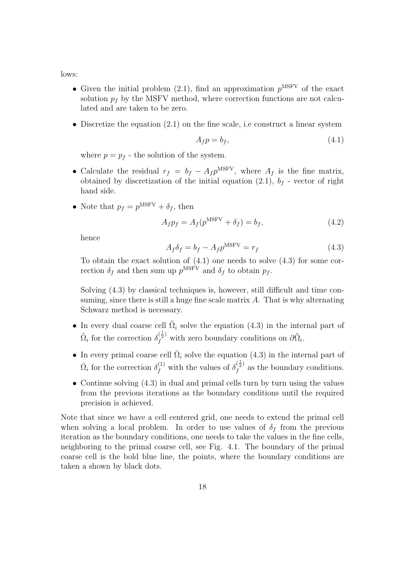lows:

- Given the initial problem (2.1), find an approximation  $p<sup>MSFV</sup>$  of the exact solution  $p_f$  by the MSFV method, where correction functions are not calculated and are taken to be zero.
- Discretize the equation (2.1) on the fine scale, i.e construct a linear system

$$
A_f p = b_f,\t\t(4.1)
$$

where  $p = p_f$  - the solution of the system.

- Calculate the residual  $r_f = b_f A_f p^{MSFV}$ , where  $A_f$  is the fine matrix, obtained by discretization of the initial equation  $(2.1)$ ,  $b_f$  - vector of right hand side.
- Note that  $p_f = p^{\text{MSFV}} + \delta_f$ , then

$$
A_f p_f = A_f(p^{\text{MSFV}} + \delta_f) = b_f,\tag{4.2}
$$

hence

$$
A_f \delta_f = b_f - A_f p^{\text{MSFV}} = r_f \tag{4.3}
$$

To obtain the exact solution of  $(4.1)$  one needs to solve  $(4.3)$  for some correction  $\delta_f$  and then sum up  $p^{\text{MSFV}}$  and  $\delta_f$  to obtain  $p_f$ .

Solving (4.3) by classical techniques is, however, still difficult and time consuming, since there is still a huge fine scale matrix  $A$ . That is why alternating Schwarz method is necessary.

- In every dual coarse cell  $\tilde{\Omega}_i$  solve the equation (4.3) in the internal part of  $\tilde{\Omega}_i$  for the correction  $\delta_f^{(\frac{1}{2})}$  with zero boundary conditions on  $\partial \tilde{\Omega}_i$ .
- In every primal coarse cell  $\overline{\Omega}_i$  solve the equation (4.3) in the internal part of  $\bar{\Omega}_i$  for the correction  $\delta_f^{(1)}$  with the values of  $\delta_f^{(\frac{1}{2})}$  $\int_{f}^{\sqrt{2}}$  as the boundary conditions.
- Continue solving (4.3) in dual and primal cells turn by turn using the values from the previous iterations as the boundary conditions until the required precision is achieved.

Note that since we have a cell centered grid, one needs to extend the primal cell when solving a local problem. In order to use values of  $\delta_f$  from the previous iteration as the boundary conditions, one needs to take the values in the fine cells, neighboring to the primal coarse cell, see Fig. 4.1. The boundary of the primal coarse cell is the bold blue line, the points, where the boundary conditions are taken a shown by black dots.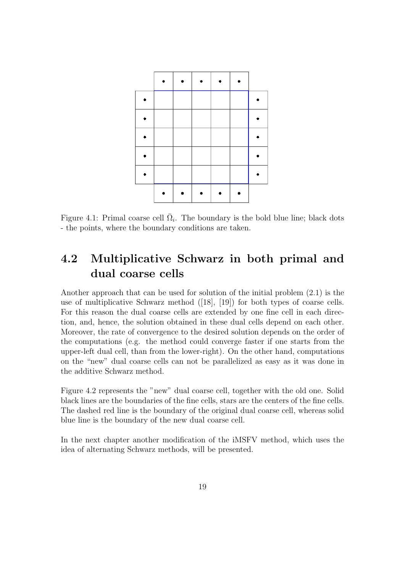

Figure 4.1: Primal coarse cell  $\overline{\Omega}_i$ . The boundary is the bold blue line; black dots - the points, where the boundary conditions are taken.

### 4.2 Multiplicative Schwarz in both primal and dual coarse cells

Another approach that can be used for solution of the initial problem (2.1) is the use of multiplicative Schwarz method ([18], [19]) for both types of coarse cells. For this reason the dual coarse cells are extended by one fine cell in each direction, and, hence, the solution obtained in these dual cells depend on each other. Moreover, the rate of convergence to the desired solution depends on the order of the computations (e.g. the method could converge faster if one starts from the upper-left dual cell, than from the lower-right). On the other hand, computations on the "new" dual coarse cells can not be parallelized as easy as it was done in the additive Schwarz method.

Figure 4.2 represents the "new" dual coarse cell, together with the old one. Solid black lines are the boundaries of the fine cells, stars are the centers of the fine cells. The dashed red line is the boundary of the original dual coarse cell, whereas solid blue line is the boundary of the new dual coarse cell.

In the next chapter another modification of the iMSFV method, which uses the idea of alternating Schwarz methods, will be presented.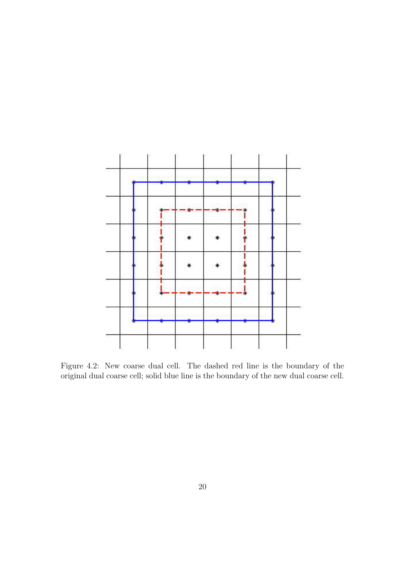

Figure 4.2: New coarse dual cell. The dashed red line is the boundary of the original dual coarse cell; solid blue line is the boundary of the new dual coarse cell.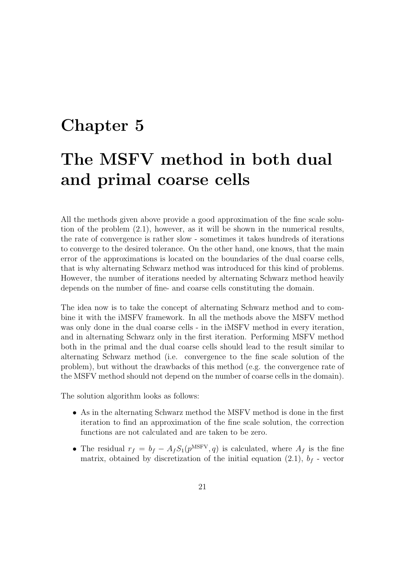## Chapter 5 The MSFV method in both dual and primal coarse cells

All the methods given above provide a good approximation of the fine scale solution of the problem (2.1), however, as it will be shown in the numerical results, the rate of convergence is rather slow - sometimes it takes hundreds of iterations to converge to the desired tolerance. On the other hand, one knows, that the main error of the approximations is located on the boundaries of the dual coarse cells, that is why alternating Schwarz method was introduced for this kind of problems. However, the number of iterations needed by alternating Schwarz method heavily depends on the number of fine- and coarse cells constituting the domain.

The idea now is to take the concept of alternating Schwarz method and to combine it with the iMSFV framework. In all the methods above the MSFV method was only done in the dual coarse cells - in the iMSFV method in every iteration, and in alternating Schwarz only in the first iteration. Performing MSFV method both in the primal and the dual coarse cells should lead to the result similar to alternating Schwarz method (i.e. convergence to the fine scale solution of the problem), but without the drawbacks of this method (e.g. the convergence rate of the MSFV method should not depend on the number of coarse cells in the domain).

The solution algorithm looks as follows:

- As in the alternating Schwarz method the MSFV method is done in the first iteration to find an approximation of the fine scale solution, the correction functions are not calculated and are taken to be zero.
- The residual  $r_f = b_f A_f S_1(p^{MSFV}, q)$  is calculated, where  $A_f$  is the fine matrix, obtained by discretization of the initial equation  $(2.1)$ ,  $b_f$  - vector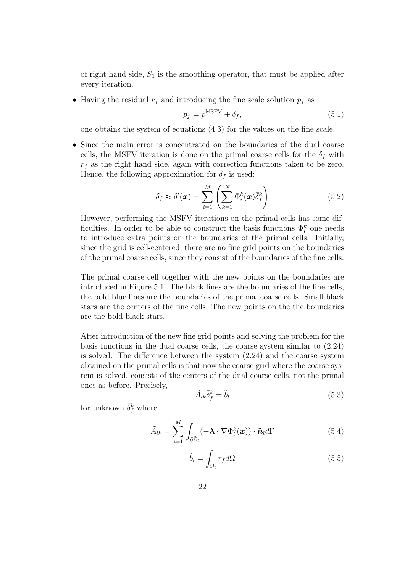of right hand side,  $S_1$  is the smoothing operator, that must be applied after every iteration.

• Having the residual  $r_f$  and introducing the fine scale solution  $p_f$  as

$$
p_f = p^{\text{MSFV}} + \delta_f,\tag{5.1}
$$

one obtains the system of equations (4.3) for the values on the fine scale.

• Since the main error is concentrated on the boundaries of the dual coarse cells, the MSFV iteration is done on the primal coarse cells for the  $\delta_f$  with  $r_f$  as the right hand side, again with correction functions taken to be zero. Hence, the following approximation for  $\delta_f$  is used:

$$
\delta_f \approx \delta'(\boldsymbol{x}) = \sum_{i=1}^{M} \left( \sum_{k=1}^{N} \Phi_i^k(\boldsymbol{x}) \bar{\delta}_f^k \right) \tag{5.2}
$$

However, performing the MSFV iterations on the primal cells has some difficulties. In order to be able to construct the basis functions  $\Phi_i^k$  one needs to introduce extra points on the boundaries of the primal cells. Initially, since the grid is cell-centered, there are no fine grid points on the boundaries of the primal coarse cells, since they consist of the boundaries of the fine cells.

The primal coarse cell together with the new points on the boundaries are introduced in Figure 5.1. The black lines are the boundaries of the fine cells, the bold blue lines are the boundaries of the primal coarse cells. Small black stars are the centers of the fine cells. The new points on the the boundaries are the bold black stars.

After introduction of the new fine grid points and solving the problem for the basis functions in the dual coarse cells, the coarse system similar to (2.24) is solved. The difference between the system (2.24) and the coarse system obtained on the primal cells is that now the coarse grid where the coarse system is solved, consists of the centers of the dual coarse cells, not the primal ones as before. Precisely,

$$
\tilde{A}_{lk}\bar{\delta}_f^k = \tilde{b}_l \tag{5.3}
$$

for unknown  $\bar{\delta}_f^k$  where

$$
\tilde{A}_{lk} = \sum_{i=1}^{M} \int_{\partial \tilde{\Omega}_l} (-\boldsymbol{\lambda} \cdot \nabla \Phi_i^k(\boldsymbol{x})) \cdot \tilde{\boldsymbol{n}}_l d\Gamma
$$
\n(5.4)

$$
\tilde{b}_l = \int_{\tilde{\Omega}_l} r_f d\Omega \tag{5.5}
$$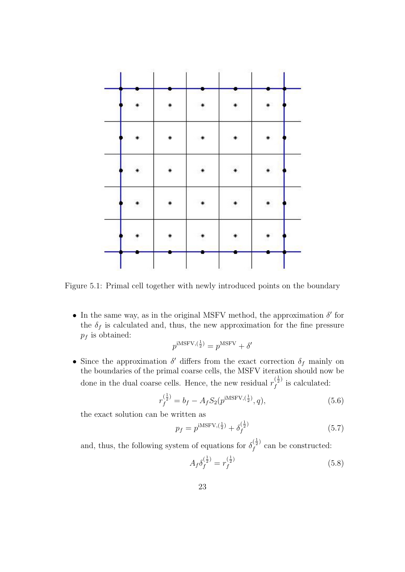

Figure 5.1: Primal cell together with newly introduced points on the boundary

• In the same way, as in the original MSFV method, the approximation  $\delta'$  for the  $\delta_f$  is calculated and, thus, the new approximation for the fine pressure  $p_f$  is obtained:

$$
p^{\text{iMSFV},(\frac{1}{2})} = p^{\text{MSFV}} + \delta'
$$

• Since the approximation  $\delta'$  differs from the exact correction  $\delta_f$  mainly on the boundaries of the primal coarse cells, the MSFV iteration should now be done in the dual coarse cells. Hence, the new residual  $r_f^{(\frac{1}{2})}$  $\int_{f}^{\sqrt{2}t}$  is calculated:

$$
r_f^{(\frac{1}{2})} = b_f - A_f S_2(p^{iMSFV,(\frac{1}{2})}, q),
$$
\n(5.6)

the exact solution can be written as

$$
p_f = p^{\text{iMSFV}, \left(\frac{1}{2}\right)} + \delta_f^{\left(\frac{1}{2}\right)} \tag{5.7}
$$

and, thus, the following system of equations for  $\delta_f^{(\frac{1}{2})}$  $f_f^{(\frac{1}{2})}$  can be constructed:

$$
A_f \delta_f^{(\frac{1}{2})} = r_f^{(\frac{1}{2})} \tag{5.8}
$$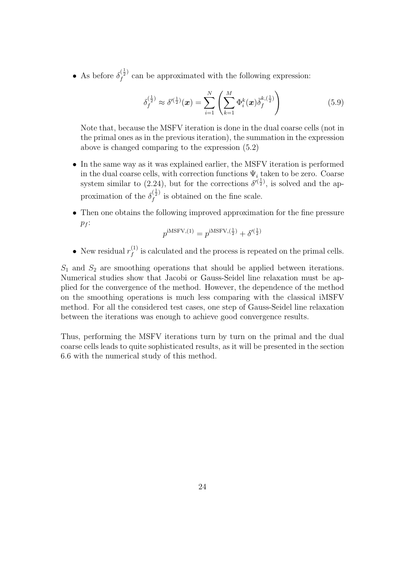• As before  $\delta_f^{(\frac{1}{2})}$  $f_f^{\langle 2 \rangle}$  can be approximated with the following expression:

$$
\delta_f^{(\frac{1}{2})} \approx \delta'^{(\frac{1}{2})}(\boldsymbol{x}) = \sum_{i=1}^N \left( \sum_{k=1}^M \Phi_i^k(\boldsymbol{x}) \bar{\delta}_f^{k,(\frac{1}{2})} \right) \tag{5.9}
$$

Note that, because the MSFV iteration is done in the dual coarse cells (not in the primal ones as in the previous iteration), the summation in the expression above is changed comparing to the expression (5.2)

- In the same way as it was explained earlier, the MSFV iteration is performed in the dual coarse cells, with correction functions  $\Psi_i$  taken to be zero. Coarse system similar to (2.24), but for the corrections  $\delta^{(\frac{1}{2})}$ , is solved and the approximation of the  $\delta_f^{(\frac{1}{2})}$  $\int_{f}^{\sqrt{2}}$  is obtained on the fine scale.
- Then one obtains the following improved approximation for the fine pressure  $p_f$ :

$$
p^{\text{iMSFV}, (1)} = p^{\text{iMSFV}, (\frac{1}{2})} + \delta'^{(\frac{1}{2})}
$$

• New residual  $r_f^{(1)}$  $f_f^{(1)}$  is calculated and the process is repeated on the primal cells.

 $S_1$  and  $S_2$  are smoothing operations that should be applied between iterations. Numerical studies show that Jacobi or Gauss-Seidel line relaxation must be applied for the convergence of the method. However, the dependence of the method on the smoothing operations is much less comparing with the classical iMSFV method. For all the considered test cases, one step of Gauss-Seidel line relaxation between the iterations was enough to achieve good convergence results.

Thus, performing the MSFV iterations turn by turn on the primal and the dual coarse cells leads to quite sophisticated results, as it will be presented in the section 6.6 with the numerical study of this method.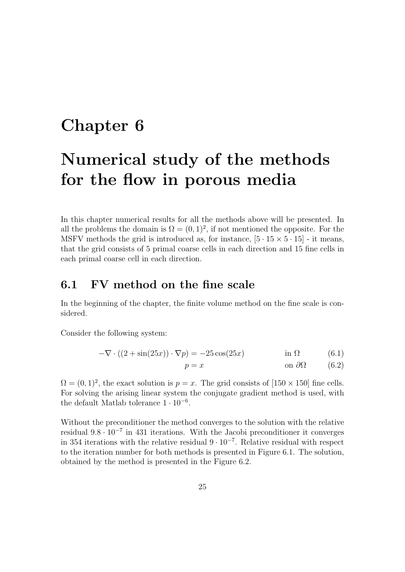### Chapter 6

## Numerical study of the methods for the flow in porous media

In this chapter numerical results for all the methods above will be presented. In all the problems the domain is  $\Omega = (0, 1)^2$ , if not mentioned the opposite. For the MSFV methods the grid is introduced as, for instance,  $[5 \cdot 15 \times 5 \cdot 15]$  - it means, that the grid consists of 5 primal coarse cells in each direction and 15 fine cells in each primal coarse cell in each direction.

### 6.1 FV method on the fine scale

In the beginning of the chapter, the finite volume method on the fine scale is considered.

Consider the following system:

$$
-\nabla \cdot ((2 + \sin(25x)) \cdot \nabla p) = -25\cos(25x) \qquad \text{in } \Omega \tag{6.1}
$$

$$
p = x \qquad \qquad \text{on } \partial\Omega \qquad (6.2)
$$

 $\Omega = (0, 1)^2$ , the exact solution is  $p = x$ . The grid consists of  $[150 \times 150]$  fine cells. For solving the arising linear system the conjugate gradient method is used, with the default Matlab tolerance  $1 \cdot 10^{-6}$ .

Without the preconditioner the method converges to the solution with the relative residual  $9.8 \cdot 10^{-7}$  in 431 iterations. With the Jacobi preconditioner it converges in 354 iterations with the relative residual 9 · 10<sup>−</sup><sup>7</sup> . Relative residual with respect to the iteration number for both methods is presented in Figure 6.1. The solution, obtained by the method is presented in the Figure 6.2.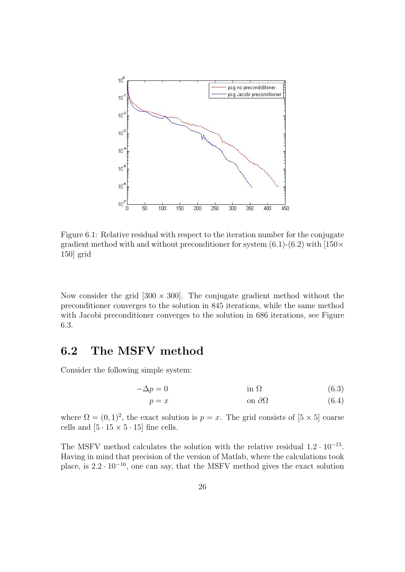

Figure 6.1: Relative residual with respect to the iteration number for the conjugate gradient method with and without preconditioner for system  $(6.1)-(6.2)$  with  $[150 \times$ 150] grid

Now consider the grid  $[300 \times 300]$ . The conjugate gradient method without the preconditioner converges to the solution in 845 iterations, while the same method with Jacobi preconditioner converges to the solution in 686 iterations, see Figure 6.3.

### 6.2 The MSFV method

Consider the following simple system:

$$
-\Delta p = 0 \qquad \qquad \text{in } \Omega \tag{6.3}
$$

$$
p = x \qquad \qquad \text{on } \partial\Omega \tag{6.4}
$$

where  $\Omega = (0, 1)^2$ , the exact solution is  $p = x$ . The grid consists of  $[5 \times 5]$  coarse cells and  $[5 \cdot 15 \times 5 \cdot 15]$  fine cells.

The MSFV method calculates the solution with the relative residual  $1.2 \cdot 10^{-15}$ . Having in mind that precision of the version of Matlab, where the calculations took place, is  $2.2 \cdot 10^{-16}$ , one can say, that the MSFV method gives the exact solution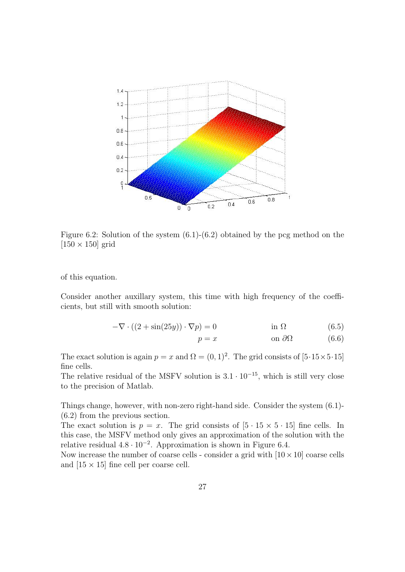

Figure 6.2: Solution of the system (6.1)-(6.2) obtained by the pcg method on the  $[150 \times 150]$  grid

of this equation.

Consider another auxillary system, this time with high frequency of the coefficients, but still with smooth solution:

$$
-\nabla \cdot ((2 + \sin(25y)) \cdot \nabla p) = 0 \qquad \text{in } \Omega \tag{6.5}
$$

$$
p = x \qquad \qquad \text{on } \partial\Omega \tag{6.6}
$$

The exact solution is again  $p = x$  and  $\Omega = (0, 1)^2$ . The grid consists of  $[5.15 \times 5.15]$ fine cells.

The relative residual of the MSFV solution is  $3.1 \cdot 10^{-15}$ , which is still very close to the precision of Matlab.

Things change, however, with non-zero right-hand side. Consider the system (6.1)- (6.2) from the previous section.

The exact solution is  $p = x$ . The grid consists of  $[5 \cdot 15 \times 5 \cdot 15]$  fine cells. In this case, the MSFV method only gives an approximation of the solution with the relative residual  $4.8 \cdot 10^{-2}$ . Approximation is shown in Figure 6.4.

Now increase the number of coarse cells - consider a grid with  $[10 \times 10]$  coarse cells and  $[15 \times 15]$  fine cell per coarse cell.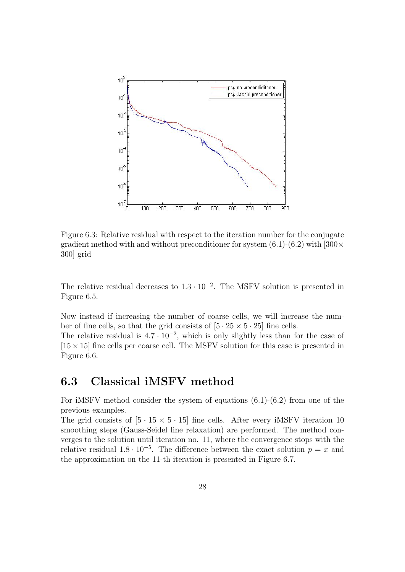

Figure 6.3: Relative residual with respect to the iteration number for the conjugate gradient method with and without preconditioner for system  $(6.1)-(6.2)$  with  $[300 \times$ 300] grid

The relative residual decreases to  $1.3 \cdot 10^{-2}$ . The MSFV solution is presented in Figure 6.5.

Now instead if increasing the number of coarse cells, we will increase the number of fine cells, so that the grid consists of  $[5 \cdot 25 \times 5 \cdot 25]$  fine cells.

The relative residual is  $4.7 \cdot 10^{-2}$ , which is only slightly less than for the case of  $[15 \times 15]$  fine cells per coarse cell. The MSFV solution for this case is presented in Figure 6.6.

### 6.3 Classical iMSFV method

For iMSFV method consider the system of equations (6.1)-(6.2) from one of the previous examples.

The grid consists of  $[5 \cdot 15 \times 5 \cdot 15]$  fine cells. After every iMSFV iteration 10 smoothing steps (Gauss-Seidel line relaxation) are performed. The method converges to the solution until iteration no. 11, where the convergence stops with the relative residual  $1.8 \cdot 10^{-5}$ . The difference between the exact solution  $p = x$  and the approximation on the 11-th iteration is presented in Figure 6.7.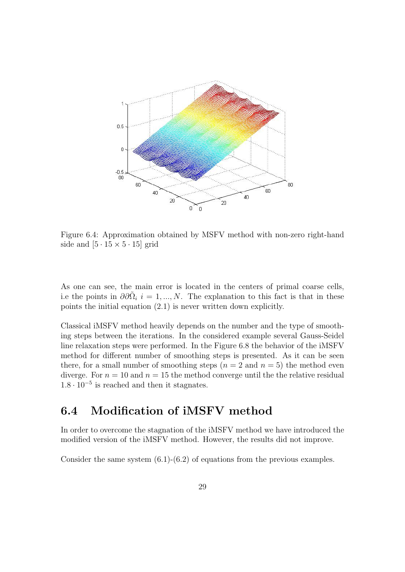

Figure 6.4: Approximation obtained by MSFV method with non-zero right-hand side and  $[5 \cdot 15 \times 5 \cdot 15]$  grid

As one can see, the main error is located in the centers of primal coarse cells, i.e the points in  $\partial \partial \tilde{\Omega}_i$  i = 1, ..., N. The explanation to this fact is that in these points the initial equation (2.1) is never written down explicitly.

Classical iMSFV method heavily depends on the number and the type of smoothing steps between the iterations. In the considered example several Gauss-Seidel line relaxation steps were performed. In the Figure 6.8 the behavior of the iMSFV method for different number of smoothing steps is presented. As it can be seen there, for a small number of smoothing steps  $(n = 2 \text{ and } n = 5)$  the method even diverge. For  $n = 10$  and  $n = 15$  the method converge until the the relative residual  $1.8 \cdot 10^{-5}$  is reached and then it stagnates.

### 6.4 Modification of iMSFV method

In order to overcome the stagnation of the iMSFV method we have introduced the modified version of the iMSFV method. However, the results did not improve.

Consider the same system  $(6.1)-(6.2)$  of equations from the previous examples.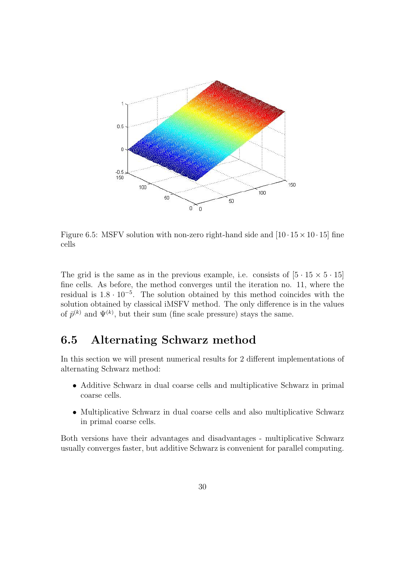

Figure 6.5: MSFV solution with non-zero right-hand side and  $[10 \cdot 15 \times 10 \cdot 15]$  fine cells

The grid is the same as in the previous example, i.e. consists of  $[5 \cdot 15 \times 5 \cdot 15]$ fine cells. As before, the method converges until the iteration no. 11, where the residual is  $1.8 \cdot 10^{-5}$ . The solution obtained by this method coincides with the solution obtained by classical iMSFV method. The only difference is in the values of  $\bar{p}^{(k)}$  and  $\Psi^{(k)}$ , but their sum (fine scale pressure) stays the same.

### 6.5 Alternating Schwarz method

In this section we will present numerical results for 2 different implementations of alternating Schwarz method:

- Additive Schwarz in dual coarse cells and multiplicative Schwarz in primal coarse cells.
- Multiplicative Schwarz in dual coarse cells and also multiplicative Schwarz in primal coarse cells.

Both versions have their advantages and disadvantages - multiplicative Schwarz usually converges faster, but additive Schwarz is convenient for parallel computing.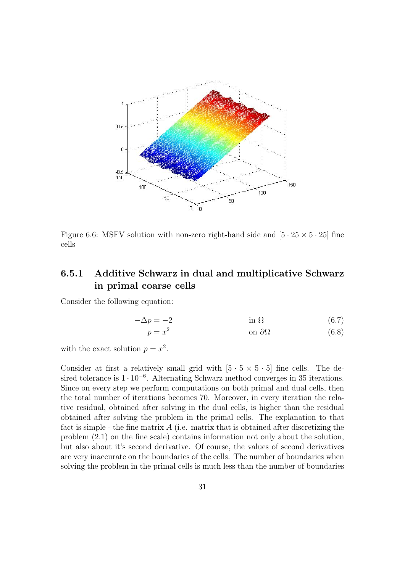

Figure 6.6: MSFV solution with non-zero right-hand side and  $[5 \cdot 25 \times 5 \cdot 25]$  fine cells

### 6.5.1 Additive Schwarz in dual and multiplicative Schwarz in primal coarse cells

Consider the following equation:

$$
-\Delta p = -2 \qquad \text{in } \Omega \tag{6.7}
$$
  
 
$$
p = x^2 \qquad \text{on } \partial\Omega \tag{6.8}
$$

with the exact solution  $p = x^2$ .

Consider at first a relatively small grid with  $[5 \cdot 5 \times 5 \cdot 5]$  fine cells. The desired tolerance is  $1 \cdot 10^{-6}$ . Alternating Schwarz method converges in 35 iterations. Since on every step we perform computations on both primal and dual cells, then the total number of iterations becomes 70. Moreover, in every iteration the relative residual, obtained after solving in the dual cells, is higher than the residual obtained after solving the problem in the primal cells. The explanation to that fact is simple - the fine matrix  $A$  (i.e. matrix that is obtained after discretizing the problem (2.1) on the fine scale) contains information not only about the solution, but also about it's second derivative. Of course, the values of second derivatives are very inaccurate on the boundaries of the cells. The number of boundaries when solving the problem in the primal cells is much less than the number of boundaries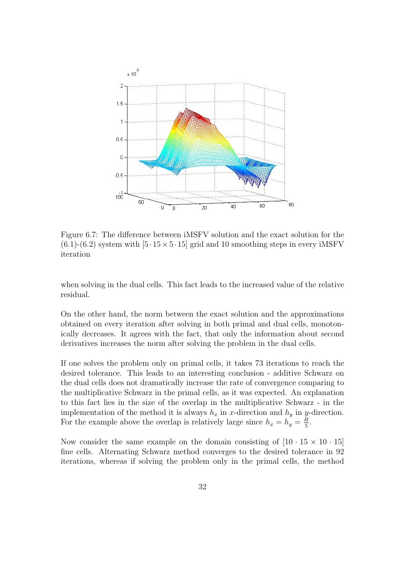

Figure 6.7: The difference between iMSFV solution and the exact solution for the  $(6.1)-(6.2)$  system with  $[5.15\times5.15]$  grid and 10 smoothing steps in every iMSFV iteration

when solving in the dual cells. This fact leads to the increased value of the relative residual.

On the other hand, the norm between the exact solution and the approximations obtained on every iteration after solving in both primal and dual cells, monotonically decreases. It agrees with the fact, that only the information about second derivatives increases the norm after solving the problem in the dual cells.

If one solves the problem only on primal cells, it takes 73 iterations to reach the desired tolerance. This leads to an interesting conclusion - additive Schwarz on the dual cells does not dramatically increase the rate of convergence comparing to the multiplicative Schwarz in the primal cells, as it was expected. An explanation to this fact lies in the size of the overlap in the multiplicative Schwarz - in the implementation of the method it is always  $h_x$  in x-direction and  $h_y$  in y-direction. For the example above the overlap is relatively large since  $h_x = h_y = \frac{H}{5}$  $\frac{H}{5}$ .

Now consider the same example on the domain consisting of  $[10 \cdot 15 \times 10 \cdot 15]$ fine cells. Alternating Schwarz method converges to the desired tolerance in 92 iterations, whereas if solving the problem only in the primal cells, the method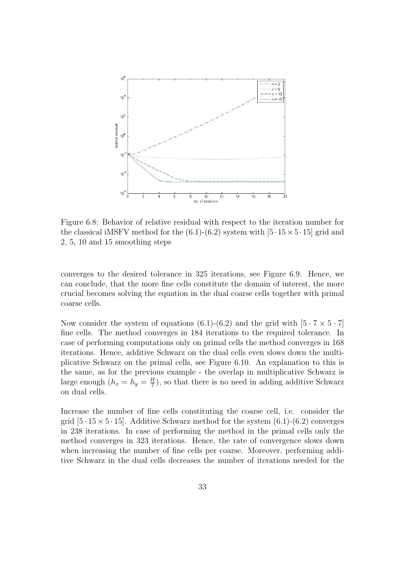

Figure 6.8: Behavior of relative residual with respect to the iteration number for the classical iMSFV method for the  $(6.1)-(6.2)$  system with  $[5 \cdot 15 \times 5 \cdot 15]$  grid and 2, 5, 10 and 15 smoothing steps

converges to the desired tolerance in 325 iterations, see Figure 6.9. Hence, we can conclude, that the more fine cells constitute the domain of interest, the more crucial becomes solving the equation in the dual coarse cells together with primal coarse cells.

Now consider the system of equations (6.1)-(6.2) and the grid with  $[5 \cdot 7 \times 5 \cdot 7]$ fine cells. The method converges in 184 iterations to the required tolerance. In case of performing computations only on primal cells the method converges in 168 iterations. Hence, additive Schwarz on the dual cells even slows down the multiplicative Schwarz on the primal cells, see Figure 6.10. An explanation to this is the same, as for the previous example - the overlap in multiplicative Schwarz is large enough  $(h_x = h_y = \frac{H}{7})$  $\frac{H}{7}$ , so that there is no need in adding additive Schwarz on dual cells.

Increase the number of fine cells constituting the coarse cell, i.e. consider the grid  $[5 \cdot 15 \times 5 \cdot 15]$ . Additive Schwarz method for the system  $(6.1)$ - $(6.2)$  converges in 238 iterations. In case of performing the method in the primal cells only the method converges in 323 iterations. Hence, the rate of convergence slows down when increasing the number of fine cells per coarse. Moreover, performing additive Schwarz in the dual cells decreases the number of iterations needed for the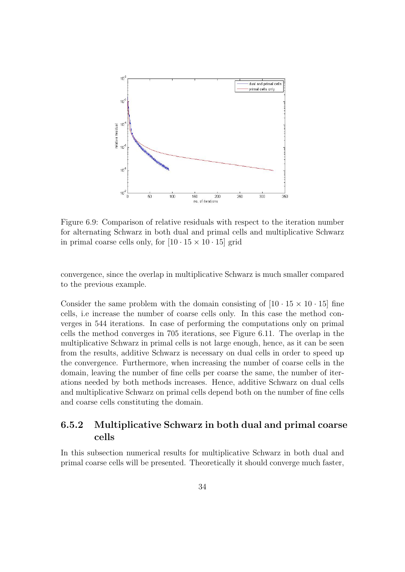

Figure 6.9: Comparison of relative residuals with respect to the iteration number for alternating Schwarz in both dual and primal cells and multiplicative Schwarz in primal coarse cells only, for  $[10 \cdot 15 \times 10 \cdot 15]$  grid

convergence, since the overlap in multiplicative Schwarz is much smaller compared to the previous example.

Consider the same problem with the domain consisting of  $[10 \cdot 15 \times 10 \cdot 15]$  fine cells, i.e increase the number of coarse cells only. In this case the method converges in 544 iterations. In case of performing the computations only on primal cells the method converges in 705 iterations, see Figure 6.11. The overlap in the multiplicative Schwarz in primal cells is not large enough, hence, as it can be seen from the results, additive Schwarz is necessary on dual cells in order to speed up the convergence. Furthermore, when increasing the number of coarse cells in the domain, leaving the number of fine cells per coarse the same, the number of iterations needed by both methods increases. Hence, additive Schwarz on dual cells and multiplicative Schwarz on primal cells depend both on the number of fine cells and coarse cells constituting the domain.

#### 6.5.2 Multiplicative Schwarz in both dual and primal coarse cells

In this subsection numerical results for multiplicative Schwarz in both dual and primal coarse cells will be presented. Theoretically it should converge much faster,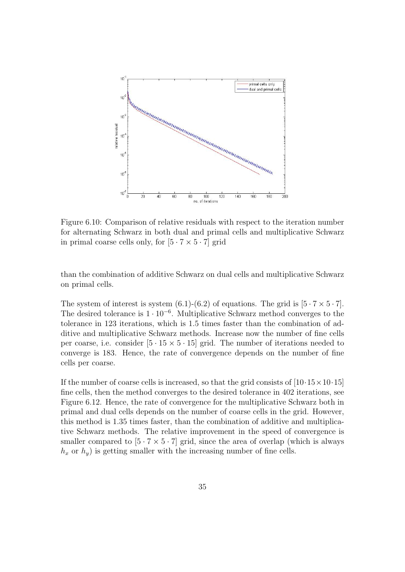

Figure 6.10: Comparison of relative residuals with respect to the iteration number for alternating Schwarz in both dual and primal cells and multiplicative Schwarz in primal coarse cells only, for  $[5 \cdot 7 \times 5 \cdot 7]$  grid

than the combination of additive Schwarz on dual cells and multiplicative Schwarz on primal cells.

The system of interest is system (6.1)-(6.2) of equations. The grid is  $[5 \cdot 7 \times 5 \cdot 7]$ . The desired tolerance is  $1 \cdot 10^{-6}$ . Multiplicative Schwarz method converges to the tolerance in 123 iterations, which is 1.5 times faster than the combination of additive and multiplicative Schwarz methods. Increase now the number of fine cells per coarse, i.e. consider  $[5 \cdot 15 \times 5 \cdot 15]$  grid. The number of iterations needed to converge is 183. Hence, the rate of convergence depends on the number of fine cells per coarse.

If the number of coarse cells is increased, so that the grid consists of  $[10.15 \times 10.15]$ fine cells, then the method converges to the desired tolerance in 402 iterations, see Figure 6.12. Hence, the rate of convergence for the multiplicative Schwarz both in primal and dual cells depends on the number of coarse cells in the grid. However, this method is 1.35 times faster, than the combination of additive and multiplicative Schwarz methods. The relative improvement in the speed of convergence is smaller compared to  $[5 \cdot 7 \times 5 \cdot 7]$  grid, since the area of overlap (which is always  $h_x$  or  $h_y$ ) is getting smaller with the increasing number of fine cells.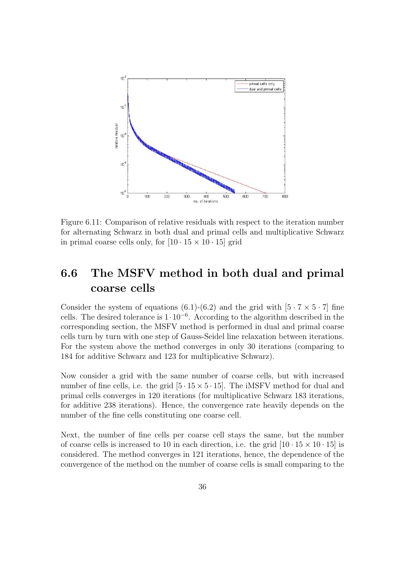

Figure 6.11: Comparison of relative residuals with respect to the iteration number for alternating Schwarz in both dual and primal cells and multiplicative Schwarz in primal coarse cells only, for  $[10 \cdot 15 \times 10 \cdot 15]$  grid

### 6.6 The MSFV method in both dual and primal coarse cells

Consider the system of equations (6.1)-(6.2) and the grid with  $[5 \cdot 7 \times 5 \cdot 7]$  fine cells. The desired tolerance is  $1 \cdot 10^{-6}$ . According to the algorithm described in the corresponding section, the MSFV method is performed in dual and primal coarse cells turn by turn with one step of Gauss-Seidel line relaxation between iterations. For the system above the method converges in only 30 iterations (comparing to 184 for additive Schwarz and 123 for multiplicative Schwarz).

Now consider a grid with the same number of coarse cells, but with increased number of fine cells, i.e. the grid  $[5 \cdot 15 \times 5 \cdot 15]$ . The iMSFV method for dual and primal cells converges in 120 iterations (for multiplicative Schwarz 183 iterations, for additive 238 iterations). Hence, the convergence rate heavily depends on the number of the fine cells constituting one coarse cell.

Next, the number of fine cells per coarse cell stays the same, but the number of coarse cells is increased to 10 in each direction, i.e. the grid  $[10 \cdot 15 \times 10 \cdot 15]$  is considered. The method converges in 121 iterations, hence, the dependence of the convergence of the method on the number of coarse cells is small comparing to the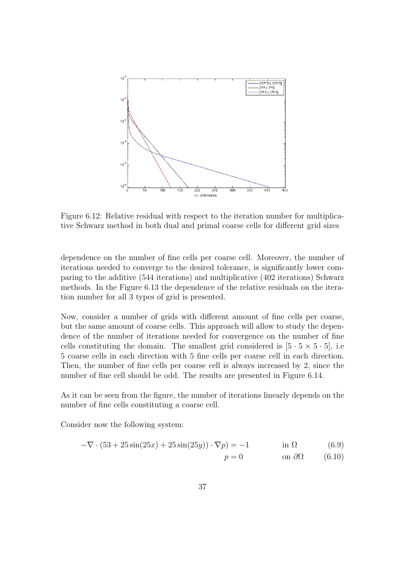

Figure 6.12: Relative residual with respect to the iteration number for multiplicative Schwarz method in both dual and primal coarse cells for different grid sizes

dependence on the number of fine cells per coarse cell. Moreover, the number of iterations needed to converge to the desired tolerance, is significantly lower comparing to the additive (544 iterations) and multiplicative (402 iterations) Schwarz methods. In the Figure 6.13 the dependence of the relative residuals on the iteration number for all 3 types of grid is presented.

Now, consider a number of grids with different amount of fine cells per coarse, but the same amount of coarse cells. This approach will allow to study the dependence of the number of iterations needed for convergence on the number of fine cells constituting the domain. The smallest grid considered is  $[5 \cdot 5 \times 5 \cdot 5]$ , i.e 5 coarse cells in each direction with 5 fine cells per coarse cell in each direction. Then, the number of fine cells per coarse cell is always increased by 2, since the number of fine cell should be odd. The results are presented in Figure 6.14.

As it can be seen from the figure, the number of iterations linearly depends on the number of fine cells constituting a coarse cell.

Consider now the following system:

$$
-\nabla \cdot (53 + 25\sin(25x) + 25\sin(25y)) \cdot \nabla p) = -1 \qquad \text{in } \Omega \tag{6.9}
$$

$$
p = 0 \qquad \qquad \text{on } \partial\Omega \qquad (6.10)
$$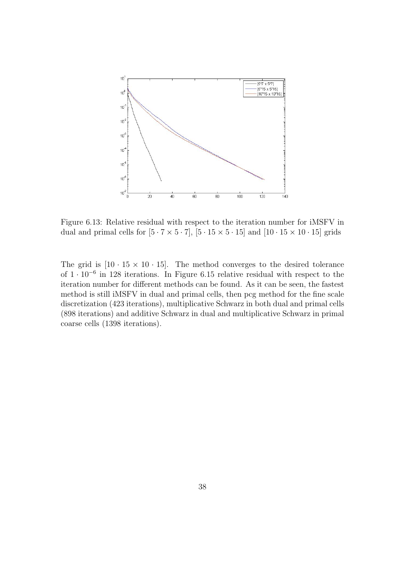

Figure 6.13: Relative residual with respect to the iteration number for iMSFV in dual and primal cells for  $[5 \cdot 7 \times 5 \cdot 7]$ ,  $[5 \cdot 15 \times 5 \cdot 15]$  and  $[10 \cdot 15 \times 10 \cdot 15]$  grids

The grid is  $[10 \cdot 15 \times 10 \cdot 15]$ . The method converges to the desired tolerance of 1 · 10<sup>−</sup><sup>6</sup> in 128 iterations. In Figure 6.15 relative residual with respect to the iteration number for different methods can be found. As it can be seen, the fastest method is still iMSFV in dual and primal cells, then pcg method for the fine scale discretization (423 iterations), multiplicative Schwarz in both dual and primal cells (898 iterations) and additive Schwarz in dual and multiplicative Schwarz in primal coarse cells (1398 iterations).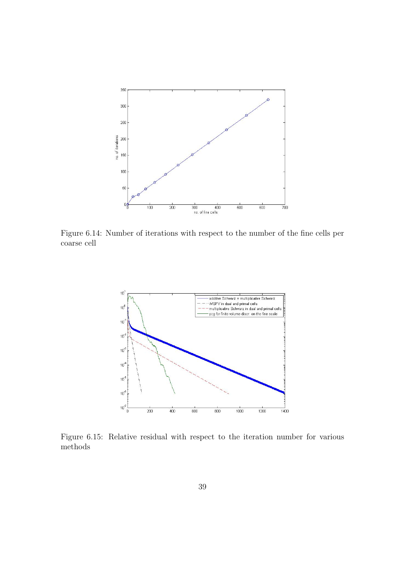

Figure 6.14: Number of iterations with respect to the number of the fine cells per coarse cell



Figure 6.15: Relative residual with respect to the iteration number for various methods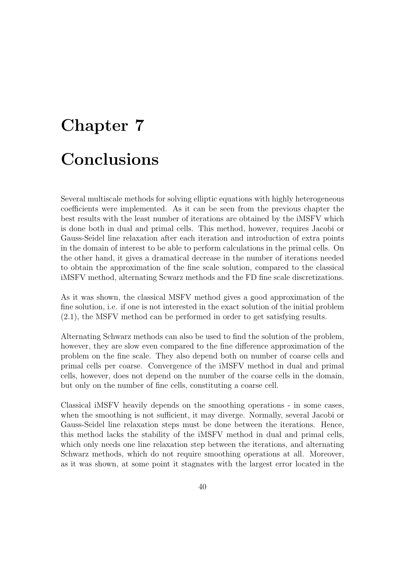## Chapter 7 Conclusions

Several multiscale methods for solving elliptic equations with highly heterogeneous coefficients were implemented. As it can be seen from the previous chapter the best results with the least number of iterations are obtained by the iMSFV which is done both in dual and primal cells. This method, however, requires Jacobi or Gauss-Seidel line relaxation after each iteration and introduction of extra points in the domain of interest to be able to perform calculations in the primal cells. On the other hand, it gives a dramatical decrease in the number of iterations needed to obtain the approximation of the fine scale solution, compared to the classical iMSFV method, alternating Scwarz methods and the FD fine scale discretizations.

As it was shown, the classical MSFV method gives a good approximation of the fine solution, i.e. if one is not interested in the exact solution of the initial problem (2.1), the MSFV method can be performed in order to get satisfying results.

Alternating Schwarz methods can also be used to find the solution of the problem, however, they are slow even compared to the fine difference approximation of the problem on the fine scale. They also depend both on number of coarse cells and primal cells per coarse. Convergence of the iMSFV method in dual and primal cells, however, does not depend on the number of the coarse cells in the domain, but only on the number of fine cells, constituting a coarse cell.

Classical iMSFV heavily depends on the smoothing operations - in some cases, when the smoothing is not sufficient, it may diverge. Normally, several Jacobi or Gauss-Seidel line relaxation steps must be done between the iterations. Hence, this method lacks the stability of the iMSFV method in dual and primal cells, which only needs one line relaxation step between the iterations, and alternating Schwarz methods, which do not require smoothing operations at all. Moreover, as it was shown, at some point it stagnates with the largest error located in the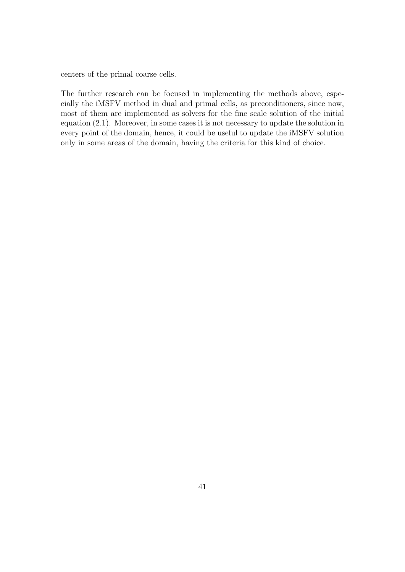centers of the primal coarse cells.

The further research can be focused in implementing the methods above, especially the iMSFV method in dual and primal cells, as preconditioners, since now, most of them are implemented as solvers for the fine scale solution of the initial equation (2.1). Moreover, in some cases it is not necessary to update the solution in every point of the domain, hence, it could be useful to update the iMSFV solution only in some areas of the domain, having the criteria for this kind of choice.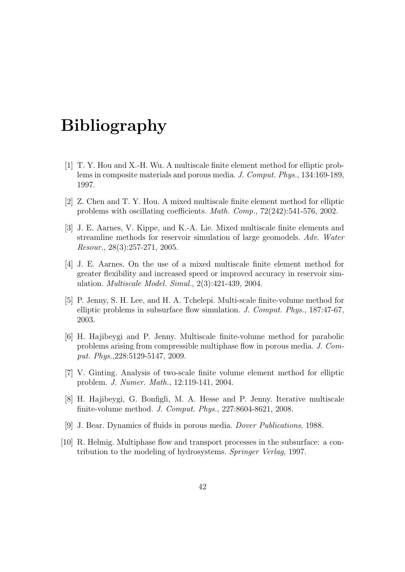### Bibliography

- [1] T. Y. Hou and X.-H. Wu. A multiscale finite element method for elliptic problems in composite materials and porous media. J. Comput. Phys., 134:169-189, 1997.
- [2] Z. Chen and T. Y. Hou. A mixed multiscale finite element method for elliptic problems with oscillating coefficients. Math. Comp., 72(242):541-576, 2002.
- [3] J. E. Aarnes, V. Kippe, and K.-A. Lie. Mixed multiscale finite elements and streamline methods for reservoir simulation of large geomodels. Adv. Water Resour., 28(3):257-271, 2005.
- [4] J. E. Aarnes. On the use of a mixed multiscale finite element method for greater flexibility and increased speed or improved accuracy in reservoir simulation. Multiscale Model. Simul., 2(3):421-439, 2004.
- [5] P. Jenny, S. H. Lee, and H. A. Tchelepi. Multi-scale finite-volume method for elliptic problems in subsurface flow simulation. J. Comput. Phys., 187:47-67, 2003.
- [6] H. Hajibeygi and P. Jenny. Multiscale finite-volume method for parabolic problems arising from compressible multiphase flow in porous media. J. Comput. Phys.,228:5129-5147, 2009.
- [7] V. Ginting. Analysis of two-scale finite volume element method for elliptic problem. J. Numer. Math., 12:119-141, 2004.
- [8] H. Hajibeygi, G. Bonfigli, M. A. Hesse and P. Jenny. Iterative multiscale finite-volume method. J. Comput. Phys., 227:8604-8621, 2008.
- [9] J. Bear. Dynamics of fluids in porous media. Dover Publications, 1988.
- [10] R. Helmig. Multiphase flow and transport processes in the subsurface: a contribution to the modeling of hydrosystems. Springer Verlag, 1997.